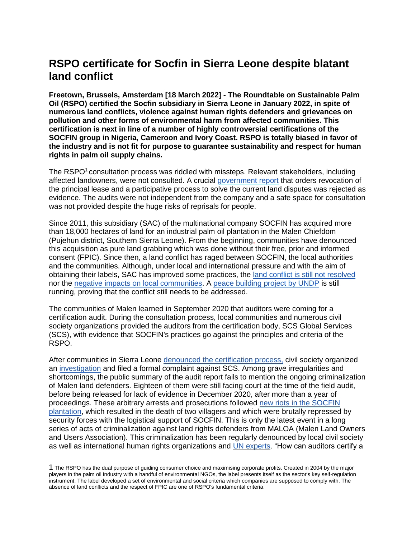# **RSPO certificate for Socfin in Sierra Leone despite blatant land conflict**

**Freetown, Brussels, Amsterdam [18 March 2022] - The Roundtable on Sustainable Palm Oil (RSPO) certified the Socfin subsidiary in Sierra Leone in January 2022, in spite of numerous land conflicts, violence against human rights defenders and grievances on pollution and other forms of environmental harm from affected communities. This certification is next in line of a number of highly controversial certifications of the SOCFIN group in Nigeria, Cameroon and Ivory Coast. RSPO is totally biased in favor of the industry and is not fit for purpose to guarantee sustainability and respect for human rights in palm oil supply chains.**

The RSPO<sup>1</sup> consultation process was riddled with missteps. Relevant stakeholders, including affected landowners, were not consulted. A crucia[l](https://landportal.org/node/91840) [government report](https://landportal.org/node/91840) that orders revocation of the principal lease and a participative process to solve the current land disputes was rejected as evidence. The audits were not independent from the company and a safe space for consultation was not provided despite the huge risks of reprisals for people.

Since 2011, this subsidiary (SAC) of the multinational company SOCFIN has acquired more than 18,000 hectares of land for an industrial palm oil plantation in the Malen Chiefdom (Pujehun district, Southern Sierra Leone). From the beginning, communities have denounced this acquisition as pure land grabbing which was done without their free, prior and informed consent (FPIC). Since then, a land conflict has raged between SOCFIN, the local authorities and the communities. Although, under local and international pressure and with the aim of obtaining their labels, SAC has improved some practices, th[e](http://fian.be/IMG/pdf/en-land_briefing_socfin.pdf) [land conflict is still not resolved](http://fian.be/IMG/pdf/en-land_briefing_socfin.pdf) nor the [negative impacts on local communities.](http://fian.be/Land-Grabbing-for-Palm-Oil-in-Sierra-Leone?lang=fr) [A](https://www.sl.undp.org/content/sierraleone/en/home/presscenter/articles/2020/mitigating-localized-resource-based-violence---enhancing-communi.html) [peace building project by UNDP](https://www.sl.undp.org/content/sierraleone/en/home/presscenter/articles/2020/mitigating-localized-resource-based-violence---enhancing-communi.html) is still running, proving that the conflict still needs to be addressed.

The communities of Malen learned in September 2020 that auditors were coming for a certification audit. During the consultation process, local communities and numerous civil society organizations provided the auditors from the certification body, SCS Global Services (SCS), with evidence that SOCFIN's practices go against the principles and criteria of the RSPO.

After communities in Sierra Leon[e](http://greenscenery.org/wp-content/uploads/2021/07/MALOA-Press-release-on-SCS-RSPO-visit.pdf) [denounced the certification process,](http://greenscenery.org/wp-content/uploads/2021/07/MALOA-Press-release-on-SCS-RSPO-visit.pdf) civil society organized an [investigation](https://en.milieudefensie.nl/news/palm-oil-certification-not-out-of-the-woods.pdf) and filed a formal complaint against SCS. Among grave irregularities and shortcomings, the public summary of the audit report fails to mention the ongoing criminalization of Malen land defenders. Eighteen of them were still facing court at the time of the field audit, before being released for lack of evidence in December 2020, after more than a year of proceedings. These arbitrary arrests and prosecutions followed [new riots in the SOCFIN](http://greenscenery.org/wp-content/uploads/2022/02/Report-on-Malen-INCIDENT-Final-version.pdf)  [plantation,](http://greenscenery.org/wp-content/uploads/2022/02/Report-on-Malen-INCIDENT-Final-version.pdf) which resulted in the death of two villagers and which were brutally repressed by security forces with the logistical support of SOCFIN. This is only the latest event in a long series of acts of criminalization against land rights defenders from MALOA (Malen Land Owners and Users Association). This criminalization has been regularly denounced by local civil society as well as international human rights organizations an[d](http://fian.be/IMG/pdf/2018_10_report_of_the_sr_envrionment_mission_sierra_leone__a_hrc_39_48_add1_en.pdf) [UN experts.](http://fian.be/IMG/pdf/2018_10_report_of_the_sr_envrionment_mission_sierra_leone__a_hrc_39_48_add1_en.pdf) "How can auditors certify a

<sup>1</sup> The RSPO has the dual purpose of guiding consumer choice and maximising corporate profits. Created in 2004 by the major players in the palm oil industry with a handful of environmental NGOs, the label presents itself as the sector's key self-regulation instrument. The label developed a set of environmental and social criteria which companies are supposed to comply with. The absence of land conflicts and the respect of FPIC are one of RSPO's fundamental criteria.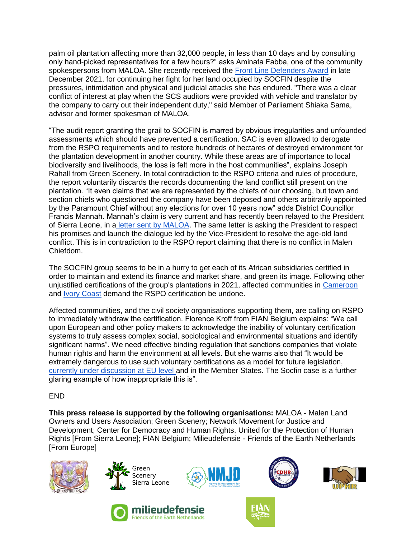palm oil plantation affecting more than 32,000 people, in less than 10 days and by consulting only hand-picked representatives for a few hours?" asks Aminata Fabba, one of the community spokespersons from MALOA. She recently received the [Front Line Defenders Award](https://www.frontlinedefenders.org/en/2021-front-line-defenders-award-human-rights-defenders-risk) in late December 2021, for continuing her fight for her land occupied by SOCFIN despite the pressures, intimidation and physical and judicial attacks she has endured. "There was a clear conflict of interest at play when the SCS auditors were provided with vehicle and translator by the company to carry out their independent duty," said Member of Parliament Shiaka Sama, advisor and former spokesman of MALOA.

"The audit report granting the grail to SOCFIN is marred by obvious irregularities and unfounded assessments which should have prevented a certification. SAC is even allowed to derogate from the RSPO requirements and to restore hundreds of hectares of destroyed environment for the plantation development in another country. While these areas are of importance to local biodiversity and livelihoods, the loss is felt more in the host communities", explains Joseph Rahall from Green Scenery. In total contradiction to the RSPO criteria and rules of procedure, the report voluntarily discards the records documenting the land conflict still present on the plantation. "It even claims that we are represented by the chiefs of our choosing, but town and section chiefs who questioned the company have been deposed and others arbitrarily appointed by the Paramount Chief without any elections for over 10 years now" adds District Councillor Francis Mannah. Mannah's claim is very current and has recently been relayed to the President of Sierra Leone, in a [letter sent by MALOA.](http://fian.be/IMG/pdf/2022_02_february_letter_to_president_bio.pdf) The same letter is asking the President to respect his promises and launch the dialogue led by the Vice-President to resolve the age-old land conflict. This is in contradiction to the RSPO report claiming that there is no conflict in Malen Chiefdom.

The SOCFIN group seems to be in a hurry to get each of its African subsidiaries certified in order to maintain and extend its finance and market share, and green its image. Following other unjustified certifications of the group's plantations in 2021, affected communities i[n](http://www.cedcameroun.org/2540-2/) [Cameroon](http://www.cedcameroun.org/2540-2/) and [Ivory Coast](https://www.farmlandgrab.org/30486) demand the RSPO certification be undone.

Affected communities, and the civil society organisations supporting them, are calling on RSPO to immediately withdraw the certification. Florence Kroff from FIAN Belgium explains: "We call upon European and other policy makers to acknowledge the inability of voluntary certification systems to truly assess complex social, sociological and environmental situations and identify significant harms". We need effective binding regulation that sanctions companies that violate human rights and harm the environment at all levels. But she warns also that "It would be extremely dangerous to use such voluntary certifications as a model for future legislation[,](https://corporatejustice.org/publications/unpacking-the-upcoming-eu-law-to-stop-corporate-abuse/) [currently under discussion at EU level](https://corporatejustice.org/publications/unpacking-the-upcoming-eu-law-to-stop-corporate-abuse/) and in the Member States. The Socfin case is a further glaring example of how inappropriate this is".

# END

**This press release is supported by the following organisations:** MALOA - Malen Land Owners and Users Association; Green Scenery; Network Movement for Justice and Development; Center for Democracy and Human Rights, United for the Protection of Human Rights [From Sierra Leone]; FIAN Belgium; Milieudefensie - Friends of the Earth Netherlands [From Europe]













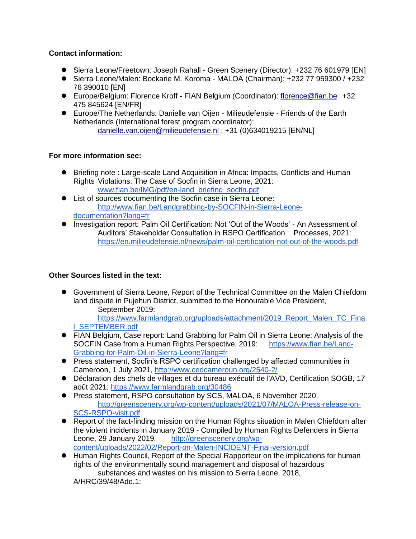# **Contact information:**

- Sierra Leone/Freetown: Joseph Rahall Green Scenery (Director): +232 76 601979 [EN]
- ⚫ Sierra Leone/Malen: Bockarie M. Koroma MALOA (Chairman): +232 77 959300 / +232 76 390010 [EN]
- ⚫ Europe/Belgium: Florence Kroff FIAN Belgium (Coordinator): florence@fian.be +32 475 845624 [EN/FR]
- ⚫ Europe/The Netherlands: Danielle van Oijen Milieudefensie Friends of the Earth Netherlands (International forest program coordinator): danielle.van.oijen@milieudefensie.nl ; +31 (0)634019215 [EN/NL]

# **For more information see:**

- Briefing note : Large-scale Land Acquisition in Africa: Impacts, Conflicts and Human Rights Violations: The Case of Socfin in Sierra Leone, 2021: [www.fian.be/IMG/pdf/en-land\\_briefing\\_socfin.pdf](http://www.fian.be/IMG/pdf/en-land_briefing_socfin.pdf)
- List of sources documenting the Socfin case in Sierra Leone: [http://www.fian.be/Landgrabbing-by-SOCFIN-in-Sierra-Leone](http://www.fian.be/Landgrabbing-by-SOCFIN-in-Sierra-Leone-documentation?lang=fr)[documentation?lang=fr](http://www.fian.be/Landgrabbing-by-SOCFIN-in-Sierra-Leone-documentation?lang=fr)
- ⚫ Investigation report: Palm Oil Certification: Not 'Out of the Woods' An Assessment of Auditors' Stakeholder Consultation in RSPO Certification Processes, 2021: <https://en.milieudefensie.nl/news/palm-oil-certification-not-out-of-the-woods.pdf>

# **Other Sources listed in the text:**

● Government of Sierra Leone, Report of the Technical Committee on the Malen Chiefdom land dispute in Pujehun District, submitted to the Honourable Vice President, September 2019:

[https://www.farmlandgrab.org/uploads/attachment/2019\\_Report\\_Malen\\_TC\\_Fina](https://www.farmlandgrab.org/uploads/attachment/2019_Report_Malen_TC_Final_SEPTEMBER.pdf) [l\\_SEPTEMBER.pdf](https://www.farmlandgrab.org/uploads/attachment/2019_Report_Malen_TC_Final_SEPTEMBER.pdf)

- FIAN Belgium, Case report: Land Grabbing for Palm Oil in Sierra Leone: Analysis of the SOCFIN Case from a Human Rights Perspective, 2019: [https://www.fian.be/Land-](https://www.fian.be/Land-Grabbing-for-Palm-Oil-in-Sierra-Leone?lang=fr)[Grabbing-for-Palm-Oil-in-Sierra-Leone?lang=fr](https://www.fian.be/Land-Grabbing-for-Palm-Oil-in-Sierra-Leone?lang=fr)
- Press statement, Socfin's RSPO certification challenged by affected communities in Cameroon, 1 July 2021, <http://www.cedcameroun.org/2540-2/>
- ⚫ Déclaration des chefs de villages et du bureau exécutif de l'AVD, Certification SOGB, 17 août 2021[:](https://www.farmlandgrab.org/30486) <https://www.farmlandgrab.org/30486>
- Press statement, RSPO consultation by SCS, MALOA, 6 November 2020, [http://greenscenery.org/wp-content/uploads/2021/07/MALOA-Press-release-on-](http://greenscenery.org/wp-content/uploads/2021/07/MALOA-Press-release-on-SCS-RSPO-visit.pdf)[SCS-RSPO-visit.pdf](http://greenscenery.org/wp-content/uploads/2021/07/MALOA-Press-release-on-SCS-RSPO-visit.pdf)
- Report of the fact-finding mission on the Human Rights situation in Malen Chiefdom after the violent incidents in January 2019 - Compiled by Human Rights Defenders in Sierra Leone, 29 January 2019, [http://greenscenery.org/wp](http://greenscenery.org/wp-content/uploads/2022/02/Report-on-Malen-INCIDENT-Final-version.pdf)[content/uploads/2022/02/Report-on-Malen-INCIDENT-Final-version.pdf](http://greenscenery.org/wp-content/uploads/2022/02/Report-on-Malen-INCIDENT-Final-version.pdf)

⚫ Human Rights Council, Report of the Special Rapporteur on the implications for human rights of the environmentally sound management and disposal of hazardous substances and wastes on his mission to Sierra Leone, 2018, A/HRC/39/48/Add.1: